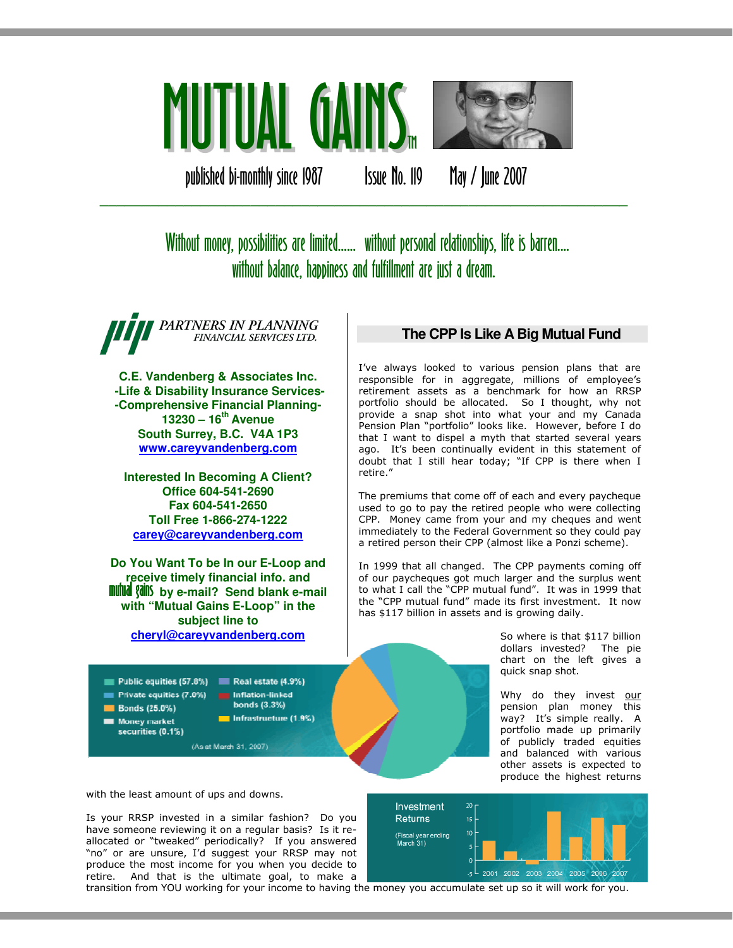

published bi-monthly since 1987 Issue No. 119 May / June 2007

# Without money, possibilities are limited...... without personal relationships, life is barren.... without balance, happiness and fulfillment are just a dream.

\_\_\_\_\_\_\_\_\_\_\_\_\_\_\_\_\_\_\_\_\_\_\_\_\_\_\_\_\_\_\_\_\_\_\_\_\_\_\_\_\_\_\_\_\_\_\_\_\_\_\_\_\_\_\_\_\_\_\_\_\_\_\_

PARTNERS IN PLANNING FINANCIAL SERVICES LTD.

**C.E. Vandenberg & Associates Inc. -Life & Disability Insurance Services- -Comprehensive Financial Planning-13230 – 16th Avenue South Surrey, B.C. V4A 1P3 www.careyvandenberg.com**

**Interested In Becoming A Client? Office 604-541-2690 Fax 604-541-2650 Toll Free 1-866-274-1222 carey@careyvandenberg.com**

**Do You Want To be In our E-Loop and receive timely financial info. and<br><b>mutual gains** by e-mail? Send blank e-mail **with "Mutual Gains E-Loop" in the subject line to cheryl@careyvandenberg.com**

#### Public equities  $(57.8\%)$  Real estate  $(4.9\%)$ Private equities (7.0%) **Bonds (25.0%)**

Money market securities (0.1%)

Inflation-linked bonds (3.3%) Infrastructure (1.9%)

(As at March 31, 2007)

### **The CPP Is Like A Big Mutual Fund**

I've always looked to various pension plans that are responsible for in aggregate, millions of employee's retirement assets as a benchmark for how an RRSP portfolio should be allocated. So I thought, why not provide a snap shot into what your and my Canada Pension Plan "portfolio" looks like. However, before I do that I want to dispel a myth that started several years ago. It's been continually evident in this statement of doubt that I still hear today; "If CPP is there when I retire."

The premiums that come off of each and every paycheque used to go to pay the retired people who were collecting CPP. Money came from your and my cheques and went immediately to the Federal Government so they could pay a retired person their CPP (almost like a Ponzi scheme).

In 1999 that all changed. The CPP payments coming off of our paycheques got much larger and the surplus went to what I call the "CPP mutual fund". It was in 1999 that the "CPP mutual fund" made its first investment. It now has \$117 billion in assets and is growing daily.

> So where is that \$117 billion dollars invested? The pie chart on the left gives a quick snap shot.

> Why do they invest our pension plan money this way? It's simple really. A portfolio made up primarily of publicly traded equities and balanced with various other assets is expected to produce the highest returns

with the least amount of ups and downs.

Is your RRSP invested in a similar fashion? Do you have someone reviewing it on a regular basis? Is it reallocated or "tweaked" periodically? If you answered "no" or are unsure, I'd suggest your RRSP may not produce the most income for you when you decide to retire. And that is the ultimate goal, to make a



transition from YOU working for your income to having the money you accumulate set up so it will work for you.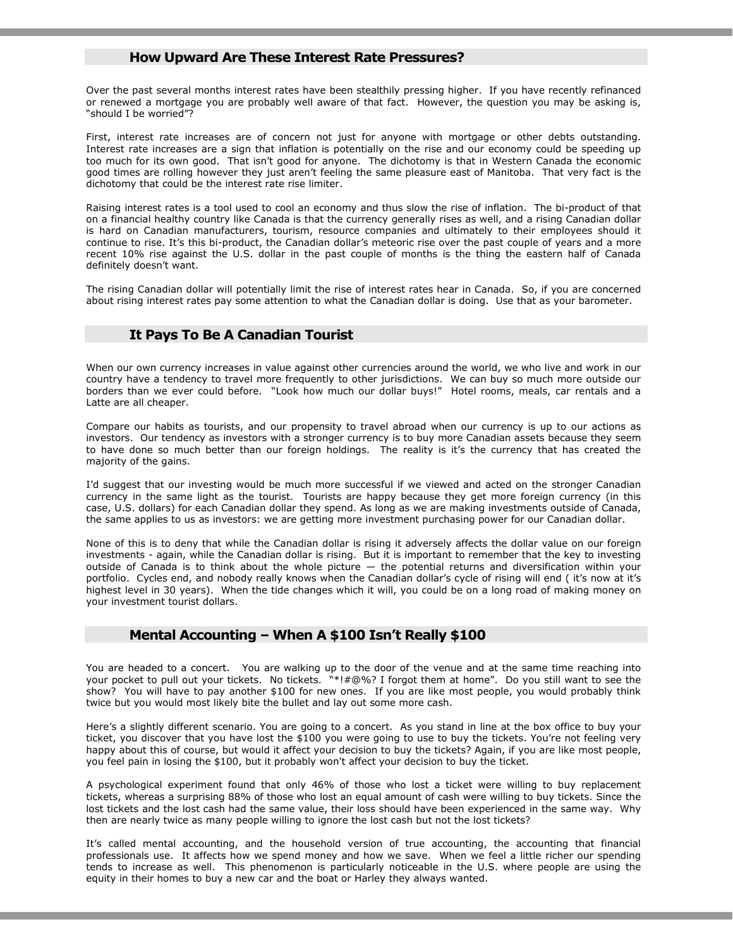#### How Upward Are These Interest Rate Pressures?

Over the past several months interest rates have been stealthily pressing higher. If you have recently refinanced or renewed a mortgage you are probably well aware of that fact. However, the question you may be asking is, "should I be worried"?

First, interest rate increases are of concern not just for anyone with mortgage or other debts outstanding. Interest rate increases are a sign that inflation is potentially on the rise and our economy could be speeding up too much for its own good. That isn't good for anyone. The dichotomy is that in Western Canada the economic good times are rolling however they just aren't feeling the same pleasure east of Manitoba. That very fact is the dichotomy that could be the interest rate rise limiter.

Raising interest rates is a tool used to cool an economy and thus slow the rise of inflation. The bi-product of that on a financial healthy country like Canada is that the currency generally rises as well, and a rising Canadian dollar is hard on Canadian manufacturers, tourism, resource companies and ultimately to their employees should it continue to rise. It's this bi-product, the Canadian dollar's meteoric rise over the past couple of years and a more recent 10% rise against the U.S. dollar in the past couple of months is the thing the eastern half of Canada definitely doesn't want.

The rising Canadian dollar will potentially limit the rise of interest rates hear in Canada. So, if you are concerned about rising interest rates pay some attention to what the Canadian dollar is doing. Use that as your barometer.

#### It Pays To Be A Canadian Tourist

When our own currency increases in value against other currencies around the world, we who live and work in our country have a tendency to travel more frequently to other jurisdictions. We can buy so much more outside our borders than we ever could before. "Look how much our dollar buys!" Hotel rooms, meals, car rentals and a Latte are all cheaper.

Compare our habits as tourists, and our propensity to travel abroad when our currency is up to our actions as investors. Our tendency as investors with a stronger currency is to buy more Canadian assets because they seem to have done so much better than our foreign holdings. The reality is it's the currency that has created the majority of the gains.

I'd suggest that our investing would be much more successful if we viewed and acted on the stronger Canadian currency in the same light as the tourist. Tourists are happy because they get more foreign currency (in this case, U.S. dollars) for each Canadian dollar they spend. As long as we are making investments outside of Canada, the same applies to us as investors: we are getting more investment purchasing power for our Canadian dollar.

None of this is to deny that while the Canadian dollar is rising it adversely affects the dollar value on our foreign investments - again, while the Canadian dollar is rising. But it is important to remember that the key to investing outside of Canada is to think about the whole picture — the potential returns and diversification within your portfolio. Cycles end, and nobody really knows when the Canadian dollar's cycle of rising will end ( it's now at it's highest level in 30 years). When the tide changes which it will, you could be on a long road of making money on your investment tourist dollars.

#### Mental Accounting – When A \$100 Isn't Really \$100

You are headed to a concert. You are walking up to the door of the venue and at the same time reaching into your pocket to pull out your tickets. No tickets. "\*!#@%? I forgot them at home". Do you still want to see the show? You will have to pay another \$100 for new ones. If you are like most people, you would probably think twice but you would most likely bite the bullet and lay out some more cash.

Here's a slightly different scenario. You are going to a concert. As you stand in line at the box office to buy your ticket, you discover that you have lost the \$100 you were going to use to buy the tickets. You're not feeling very happy about this of course, but would it affect your decision to buy the tickets? Again, if you are like most people, you feel pain in losing the \$100, but it probably won't affect your decision to buy the ticket.

A psychological experiment found that only 46% of those who lost a ticket were willing to buy replacement tickets, whereas a surprising 88% of those who lost an equal amount of cash were willing to buy tickets. Since the lost tickets and the lost cash had the same value, their loss should have been experienced in the same way. Why then are nearly twice as many people willing to ignore the lost cash but not the lost tickets?

It's called mental accounting, and the household version of true accounting, the accounting that financial professionals use. It affects how we spend money and how we save. When we feel a little richer our spending tends to increase as well. This phenomenon is particularly noticeable in the U.S. where people are using the equity in their homes to buy a new car and the boat or Harley they always wanted.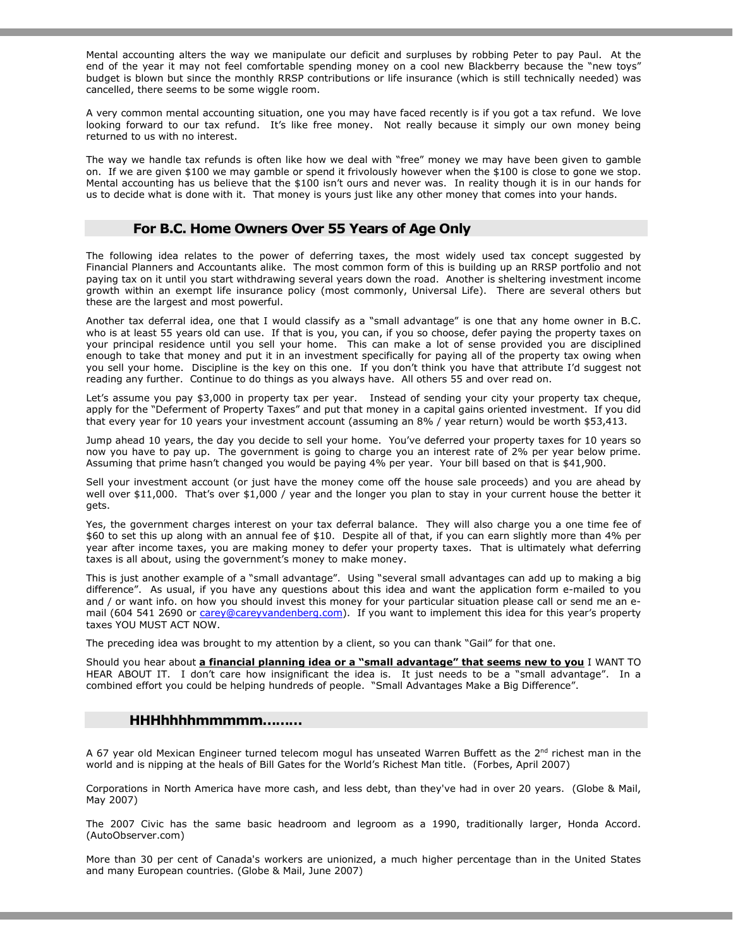Mental accounting alters the way we manipulate our deficit and surpluses by robbing Peter to pay Paul. At the end of the year it may not feel comfortable spending money on a cool new Blackberry because the "new toys" budget is blown but since the monthly RRSP contributions or life insurance (which is still technically needed) was cancelled, there seems to be some wiggle room.

A very common mental accounting situation, one you may have faced recently is if you got a tax refund. We love looking forward to our tax refund. It's like free money. Not really because it simply our own money being returned to us with no interest.

The way we handle tax refunds is often like how we deal with "free" money we may have been given to gamble on. If we are given \$100 we may gamble or spend it frivolously however when the \$100 is close to gone we stop. Mental accounting has us believe that the \$100 isn't ours and never was. In reality though it is in our hands for us to decide what is done with it. That money is yours just like any other money that comes into your hands.

#### For B.C. Home Owners Over 55 Years of Age Only

The following idea relates to the power of deferring taxes, the most widely used tax concept suggested by Financial Planners and Accountants alike. The most common form of this is building up an RRSP portfolio and not paying tax on it until you start withdrawing several years down the road. Another is sheltering investment income growth within an exempt life insurance policy (most commonly, Universal Life). There are several others but these are the largest and most powerful.

Another tax deferral idea, one that I would classify as a "small advantage" is one that any home owner in B.C. who is at least 55 years old can use. If that is you, you can, if you so choose, defer paying the property taxes on your principal residence until you sell your home. This can make a lot of sense provided you are disciplined enough to take that money and put it in an investment specifically for paying all of the property tax owing when you sell your home. Discipline is the key on this one. If you don't think you have that attribute I'd suggest not reading any further. Continue to do things as you always have. All others 55 and over read on.

Let's assume you pay \$3,000 in property tax per year. Instead of sending your city your property tax cheque, apply for the "Deferment of Property Taxes" and put that money in a capital gains oriented investment. If you did that every year for 10 years your investment account (assuming an 8% / year return) would be worth \$53,413.

Jump ahead 10 years, the day you decide to sell your home. You've deferred your property taxes for 10 years so now you have to pay up. The government is going to charge you an interest rate of 2% per year below prime. Assuming that prime hasn't changed you would be paying 4% per year. Your bill based on that is \$41,900.

Sell your investment account (or just have the money come off the house sale proceeds) and you are ahead by well over \$11,000. That's over \$1,000 / year and the longer you plan to stay in your current house the better it gets.

Yes, the government charges interest on your tax deferral balance. They will also charge you a one time fee of \$60 to set this up along with an annual fee of \$10. Despite all of that, if you can earn slightly more than 4% per year after income taxes, you are making money to defer your property taxes. That is ultimately what deferring taxes is all about, using the government's money to make money.

This is just another example of a "small advantage". Using "several small advantages can add up to making a big difference". As usual, if you have any questions about this idea and want the application form e-mailed to you and / or want info. on how you should invest this money for your particular situation please call or send me an email (604 541 2690 or carey@careyvandenberg.com). If you want to implement this idea for this year's property taxes YOU MUST ACT NOW.

The preceding idea was brought to my attention by a client, so you can thank "Gail" for that one.

Should you hear about a financial planning idea or a "small advantage" that seems new to you I WANT TO HEAR ABOUT IT. I don't care how insignificant the idea is. It just needs to be a "small advantage". In a combined effort you could be helping hundreds of people. "Small Advantages Make a Big Difference".

#### HHHhhhhmmmmm………

A 67 year old Mexican Engineer turned telecom mogul has unseated Warren Buffett as the  $2^{nd}$  richest man in the world and is nipping at the heals of Bill Gates for the World's Richest Man title. (Forbes, April 2007)

Corporations in North America have more cash, and less debt, than they've had in over 20 years. (Globe & Mail, May 2007)

The 2007 Civic has the same basic headroom and legroom as a 1990, traditionally larger, Honda Accord. (AutoObserver.com)

More than 30 per cent of Canada's workers are unionized, a much higher percentage than in the United States and many European countries. (Globe & Mail, June 2007)